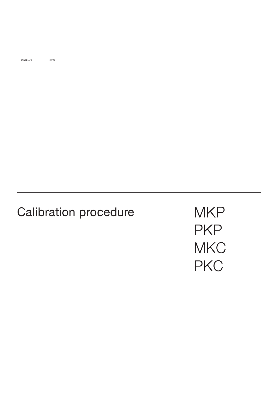0831106 Rev.0

# Calibration procedure

**MKP** PKP **MKC PKC**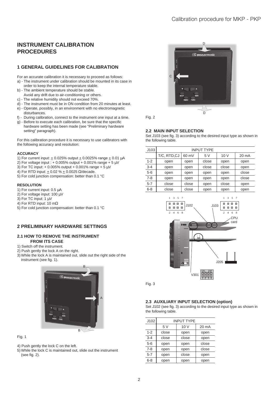# **INSTRUMENT CALIBRATION PROCEDURES**

# **1 GENERAL GUIDELINES FOR CALIBRATION**

- For an accurate calibration it is necessary to proceed as follows:
- a) The instrument under calibration should be mounted in its case in order to keep the internal temperature stable.
- b) The ambient temperature should be stable. Avoid any drift due to air-conditioning or others.
- c) The relative humidity should not exceed 70%.
- d) The instrument must be in ON condition from 20 minutes at least.
- e) Operate, possibly, in an environment with no electromagnetic disturbances.
- f) During calibration, connect to the instrument one input at a time.
- g) Before to execute each calibration, be sure that the specific hardware setting has been made (see "Preliminary hardware setting" paragraph).

For this calibration procedure it is necessary to use calibrators with the following accuracy and resolution:

## **ACCURACY**

- 1) For current input:  $\pm$  0.025% output  $\pm$  0.0025% range  $\pm$  0.01  $\mu$ A
- 2) For voltage input : + 0.005% output + 0.001% range + 5  $\mu$ V
- 3) For TC input:  $+ 0.005\%$  output  $+ 0.001\%$  range  $+ 5 \text{ uV}$
- 4) For RTD input: + 0.02 % + 0.0025 Ω/decade.
- 5) For cold junction compensation: better than 0.1 °C

## **RESOLUTION**

- 1) For current input: 0.5 µA
- 2) For voltage input: 100 µV
- 3) For TC input: 1 µV
- 4) For RTD input: 10 mΩ
- 5) For cold junction compensation: better than 0.1 °C

# **2 PRELIMINARY HARDWARE SETTINGS**

## **2.1 HOW TO REMOVE THE INSTRUMENT FROM ITS CASE**

- 1) Switch off the instrument.
- 2) Push gently the lock A on the right.
- 3) While the lock A is maintained out, slide out the right side of the instrument (see fig. 1).



Fig. 1

- 4) Push gently the lock C on the left.
- 5) While the lock C is maintained out, slide out the instrument (see fig. 2).



Fig. 2

## **2.2 MAIN INPUT SELECTION**

Set J103 (see fig. 3) according to the desired input type as shown in the following table.

| J103    | <b>INPUT TYPE</b> |       |       |       |                 |
|---------|-------------------|-------|-------|-------|-----------------|
|         | T/C, RTD,CJ       | 60 mV | 5V    | 10 V  | $20 \text{ mA}$ |
| $1 - 2$ | open              | open  | close | open  | open            |
| $3 - 4$ | open              | open  | close | close | open            |
| $5-6$   | open              | open  | open  | open  | close           |
| $7 - 8$ | open              | open  | open  | open  | close           |
| $5 - 7$ | close             | close | open  | close | open            |
| $6 - 8$ | close             | close | open  | open  | open            |
|         |                   |       |       |       |                 |



Fig. 3

## **2.3 AUXILIARY INPUT SELECTION (option)**

Set J102 (see fig. 3) according to the desired input type as shown in the following table.

| J102    | <b>INPUT TYPE</b> |       |       |
|---------|-------------------|-------|-------|
|         | 5V                | 10V   | 20 mA |
| $1 - 2$ | close             | open  | open  |
| $3 - 4$ | close             | close | open  |
| $5-6$   | open              | open  | close |
| $7 - 8$ | open              | open  | close |
| $5 - 7$ | open              | close | open  |
| $6 - 8$ | open              | open  | open  |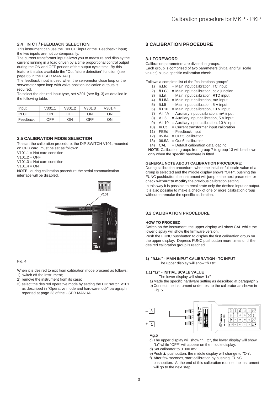## **2.4 IN CT / FEEDBACK SELECTION**

This instrument can use the "IN CT" input or the "Feedback" input; the two inputs are not contemporarily.

The current transformer input allows you to measure and display the current running in a load driven by a time proportional control output during the ON and OFF periods of the output cycle time. By this feature it is also available the "Out failure detection" function (see page 66 in the USER MANUAL).

The feedback input is used when the servomotor close loop or the servomotor open loop with valve position indication outputs is required.

To select the desired input type, set V301 (see fig. 3) as detailed in the following table:

| Input    | V301.1 | V301.2     | V301.3 | V301.4 |
|----------|--------|------------|--------|--------|
| IN CT    | OΝ     | <b>OFF</b> | ON     | ON     |
| Feedback | OFF    | ON         | OFF    | OΝ     |

## **2.5 CALIBRATION MODE SELECTION**

To start the calibration procedure, the DIP SWITCH V101, mounted on CPU card, must be set as follows:

V<sub>101.1</sub> = Not care condition

 $V101.2 = OFF$ 

 $V101.3$  = Not care condition

 $V101.4 = ON$ 

**NOTE**: during calibration procedure the serial communication interface will be disabled.



#### Fig. 4

When it is desired to exit from calibration mode proceed as follows: 1) switch off the instrument;

- 2) remove the instrument from its case;
- 3) select the desired operative mode by setting the DIP switch V101 as described in "Operative mode and hardware lock" paragraph reported at page 23 of the USER MANUAL.

# **3 CALIBRATION PROCEDURE**

## **3.1 FOREWORD**

Calibration parameters are divided in groups. Each group is comprised of two parameters (initial and full scale values) plus a specific calibration check.

Follows a complete list of the "calibrations groups".

- 1)  $\tilde{n}$ . I.tc = Main input calibration, TC input
- 2) ñ.I.CJ = Main input calibration, cold junction
- 3)  $\tilde{n}$ . I. rt = Main input calibration, RTD input 4)  $\tilde{n}$ . I.  $\tilde{n}A$  = Main input calibration, mA input
- $\tilde{n}$ .I. $\tilde{n}A$  = Main input calibration, mA input
- 5)  $\tilde{n}$ . I.5 = Main input calibration, 5 V input
- 6)  $\tilde{n}$ . 1.10 = Main input calibration, 10 V input
- 7) A.I.ñA = Auxiliary input calibration, mA input
- 8) A.I.5 = Auxiliary input calibration,  $5 \text{ V}$  input
- 9) A.I.10 = Auxiliary input calibration, 10 V input
- 10)  $In.Ct = Current transformer input calibration$
- 11)  $FEEd = Feedback input$
- 12)  $05.\tilde{n}A = Out 5$  calibration
- 13)  $06.\tilde{n}A = Out 6$  calibration
- 14)  $CAL = Default calibration data loading$

**NOTE**: Calibration groups from group 7 to group 13 will be shown only when the specific hardware is fitted.

#### **GENERAL NOTE ABOUT CALIBRATION PROCEDURE**:

During calibration procedure, when the initial or full scale value of a group is selected and the middle display shows "OFF", pushing the FUNC pushbutton the instrument will jump to the next parameter or check **without to modify** the previous calibration setting. In this way it is possible to recalibrate only the desired input or output. It is also possibe to make a check of one or more calibration group without to remake the specific calibration.

# **3.2 CALIBRATION PROCEDURE**

#### **HOW TO PROCEED**

Switch on the instrument, the upper display will show CAL while the lower display will show the firmware version.

Push the FUNC pushbutton to display the first calibration group on the upper display. Depress FUNC pushbutton more times until the desired calibration group is reached.

## **1) "ñ.I.tc" - MAIN INPUT CALIBRATION - TC INPUT**

The upper display will show "ñ.I.tc".

## **1.1) "Lr" - INITIAL SCALE VALUE**

The lower display will show "Lr"

- a) Made the specific hardware setting as described at paragraph 2. b) Connect the instrument under test to the calibrator as shown in
- Fig. 5.



Fig.5

c) The upper display will show "ñ.I.tc", the lower display will show "Lr" while "OFF" will appear on the middle display.

d) Set calibrator to 0.000 mV.

e) Push ▲ pushbutton, the middle display will change to "On".

f) After few seconds, start calibration by pushing FUNC pushbutton. At the end of this calibration routine, the instrument will go to the next step.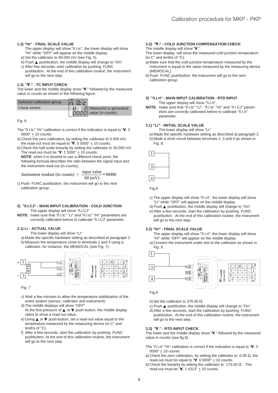#### **1.2) "Hr" - FINAL SCALE VALUE**

- The upper display will show "ñ.I.tc", the lower display will show "Hr" while "OFF" will appear on the middle display.
- a) Set the calibrator to 60.000 mV (see Fig. 5).
- b) Push ▲ pushbutton, the middle display will change to "On".
- c) After few seconds, start calibration by pushing FUNC pushbutton. At the end of this calibration routine, the instrument will go to the next step.

## **1.3) "**∀.**" - TC INPUT CHECK**

The lower and the middle display show "∀." followed by the measured value in counts as shown in the following figure:

| Selected calibration group | 同志口 |                                                                        |
|----------------------------|-----|------------------------------------------------------------------------|
| Check simbol               |     | $\frac{1}{2}$ Measured or generated                                    |
|                            |     | $\left  \overline{U}\overline{U}\overline{U}\right $ value (in counts) |

Fig. 6

- The "ñ.I.tc" "Hr" calibration is correct if the indication is equal to "∀. 3 0000"  $\pm$  10 counts.
- a) Check the zero calibration, by setting the calibrator to 0.000 mV, the read-out must be equal to " $\forall$ . 0 0000"  $\pm$  10 counts.
- b) Check the half scale linearity by setting the calibrator to 30.000 mV. The read-out must be " $\forall$ . 1 5000" + 10 counts.

**NOTE**: when it is desired to use a different check point, the following formula describes the ratio between the signal input and the instrument read-out (in counts).

Instrument readout (in counts) =  $\frac{m \pi u}{60 \text{ (mV)}}$  $\frac{\text{input value}}{\text{630000}}$ 

c) Push FUNC pushbutton, the instrument will go to the next calibration group.

#### **2) "ñ.I.CJ" - MAIN INPUT CALIBRATION - COLD JUNCTION** The upper display will show "ñ.I.CJ"

**NOTE**: make sure that "ñ.I.tc" "Lr" and "ñ.I.tc" "Hr" parameters are correctly calibrated before to calibrate "ñ.I.CJ" parameter.

#### **2.1) Lr - ACTUAL VALUE**

- The lower display will show "Lr"
- a) Made the specific hardware setting as described at paragraph 2.
- b) Measure the temperature close to terminals 1 and 3 using a calibrator, for instance, the MEMOCAL (see Fig. 7).



Fig. 7

c) Wait a few minutes to allow the temperature stabilisation of the entire system (sensor, calibrator and instrument).

- d) The middle displays will show "OFF". At the first pressure of  $\triangle$  or  $\nabla$  push-button, the middle display starts to show a read-out value.
- e) Using ▲ or ▼ push-button, set a read-out value equal to the temperature measured by the measuring device (in C° and tenths of °C).
- f) After a few seconds, start the calibration by pushing FUNC pushbutton. At the end of this calibration routine, the instrument will go to the next step.

#### **2.2) "**∀.**" - COLD JUNCTION COMPENSATION CHECK** The middle display will show "∀.".

The lower display will show the measured cold junction temperature (in C° and tenths of °C).

- a) Make sure that the cold junction temperature measured by the instrument is equal to the value measured by the measuring device (MEMOCAL).
- b) Push FUNC pushbutton, the instrument will go to the next calibration group.

## **3) "ñ.I.rt" - MAIN INPUT CALIBRATION - RTD INPUT**

The upper display will show "ñ.I.rt". **NOTE**: make sure that "ñ.I.tc" "Lr", "ñ.I.tc" "Hr" and "ñ.I.CJ" parameters are correctly calibrated before to calibrate "ñ.I.rt" parameter.

## **3.1) "Lr" - INITIAL SCALE VALUE**

The lower display will show "Lr"

- a) Made the specific hardware setting as described at paragraph 2.
- b) Made a short circuit between terminals 1, 3 and 4 as shown in Fig. 8.



Fig.8

- c) The upper display will show "ñ.I.rt", the lower display will show "Lr" while "OFF" will appear on the middle display.
- d) Push ▲ pushbutton, the middle display will change to "On".
- e) After a few seconds, start the calibration by pushing FUNC pushbutton. At the end of this calibration routine, the instrument will go to the next step.

#### **3.2) "Hr" - FINAL SCALE VALUE**

- The upper display will show "ñ.I.rt", the lower display will show "Hr" while "OFF" will appear on the middle display.
- a) Connect the instrument under test to the calibrator as shown in Fig. 9.





- b) Set the calibrator to 375.00  $Ω$ .
- c) Push ▲ pushbutton, the middle display will change to "On".
- d) After a few seconds, start the calibration by pushing FUNC pushbutton. At the end of this calibration routine, the instrument will go to the next step.

## **3.3) "**∀.**" - RTD INPUT CHECK**

The lower and the middle display show "∀." followed by the measured value in counts (see fig 6).

- The "ñ.I.rt" "Hr" calibration is correct if the indication is equal to "∀. 3 0000" + 10 counts.
- a) Check the zero calibration, by setting the calibrator to 0.00  $Ω$ , the read-out must be equal to " $\forall$ . 0 0000"  $\pm$  10 counts.
- b) Check the linearity by setting the calibrator to 175.00 Ω. The read-out must be " $\forall$ . 1 4213"  $\pm$  10 counts.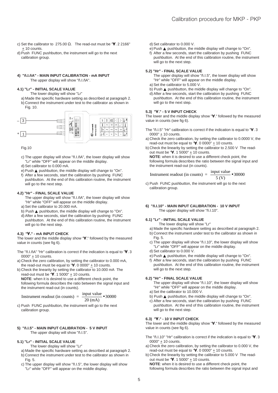- c) Set the calibrator to 275.00 Ω. The read-out must be " $\forall$ . 2 2166" + 10 counts.
- d) Push FUNC pushbutton, the instrument will go to the next calibration group.

#### **4) "ñ.I.ñA" - MAIN INPUT CALIBRATION - mA INPUT** The upper display will show "ñ.I.ñA".

## **4.1) "Lr" - INITIAL SCALE VALUE**

The lower display will show "Lr"

a) Made the specific hardware setting as described at paragraph 2. b) Connect the instrument under test to the calibrator as shown in Fig. 10.



Fig.10

c) The upper display will show "ñ.I.ñA", the lower display will show "Lr" while "OFF" will appear on the middle display.

- d) Set calibrator to 0.000 mA.
- e) Push ▲ pushbutton, the middle display will change to "On".
- f) After a few seconds, start the calibration by pushing FUNC pushbutton. At the end of this calibration routine, the instrument will go to the next step.

## **4.2) "Hr" - FINAL SCALE VALUE**

- The upper display will show "ñ.I.ñA", the lower display will show "Hr" while "OFF" will appear on the middle display.
- a) Set the calibrator to 20.000 mA.
- b) Push ▲ pushbutton, the middle display will change to "On".
- d) After a few seconds, start the calibration by pushing FUNC pushbutton. At the end of this calibration routine, the instrument will go to the next step.

#### **4.3) "**∀.**" - mA INPUT CHECK**

The lower and the middle display show "∀." followed by the measured value in counts (see fig 6).

- The "ñ.I.ñA" "Hr" calibration is correct if the indication is equal to "∀. 3 0000"  $\pm$  10 counts.
- a) Check the zero calibration, by setting the calibrator to 0.000 mA, the read-out must be equal to " $\forall$ . 0 0000"  $\pm$  10 counts.
- b) Check the linearity by setting the calibrator to 10.000 mA The read-out must be  $"\forall$ . 1 5000" + 10 counts.

**NOTE**: when it is desired to use a different check point, the following formula describes the ratio between the signal input and the instrument read-out (in counts).

$$
Instrument \text{ readout (in counts)} = \frac{input \text{ value}}{20 \text{ (mA)}} \cdot 30000
$$

c) Push FUNC pushbutton, the instrument will go to the next calibration group.

#### **5) "ñ.I.5" - MAIN INPUT CALIBRATION - 5 V INPUT** The upper display will show "ñ.I.5".

#### **5.1) "Lr" - INITIAL SCALE VALUE**

The lower display will show "Lr"

- a) Made the specific hardware setting as described at paragraph 2.
- b) Connect the instrument under test to the calibrator as shown in Fig. 5.
- c) The upper display will show "ñ.I.5", the lower display will show "Lr" while "OFF" will appear on the middle display.
- d) Set calibrator to 0.000 V.
- e) Push ▲ pushbutton, the middle display will change to "On".
- f) After a few seconds, start the calibration by pushing FUNC pushbutton. At the end of this calibration routine, the instrument will go to the next step.

#### **5.2) "Hr" - FINAL SCALE VALUE**

The upper display will show "ñ.I.5", the lower display will show "Hr" while "OFF" will appear on the middle display.

- a) Set the calibrator to 5.000 V.
- b) Push ▲ pushbutton, the middle display will change to "On".
- d) After a few seconds, start the calibration by pushing FUNC pushbutton. At the end of this calibration routine, the instrument will go to the next step.

## **5.3) "**∀.**" - 5 V INPUT CHECK**

The lower and the middle display show "∀." followed by the measured value in counts (see fig 6).

- The "ñ.I.5" "Hr" calibration is correct if the indication is equal to "∀. 3 0000"  $\pm$  10 counts.
- a) Check the zero calibration, by setting the calibrator to 0.0000 V, the read-out must be equal to " $\forall$ . 0 0000"  $\pm$  10 counts.
- b) Check the linearity by setting the calibrator to 2.500 V The readout must be " $\forall$ . 1 5000"  $\pm$  10 counts. **NOTE**: when it is desired to use a different check point, the

following formula describes the ratio between the signal input and the instrument read-out (in counts).

$$
Instrument \text{ readout (in counts)} = \frac{input \text{ value}}{5 \text{ (V)}} \cdot 30000
$$

- c) Push FUNC pushbutton, the instrument will go to the next calibration group.
- **6) "ñ.I.10" MAIN INPUT CALIBRATION 10 V INPUT** The upper display will show "ñ.I.10".

#### **6.1) "Lr" - INITIAL SCALE VALUE**

The lower display will show "Lr"

- a) Made the specific hardware setting as described at paragraph 2.
- b) Connect the instrument under test to the calibrator as shown in Fig. 5.
- c) The upper display will show "ñ.I.10", the lower display will show "Lr" while "OFF" will appear on the middle display.
- d) Set calibrator to 0.000 V.
- e) Push ▲ pushbutton, the middle display will change to "On".

f) After a few seconds, start the calibration by pushing FUNC pushbutton. At the end of this calibration routine, the instrument will go to the next step.

## **6.2) "Hr" - FINAL SCALE VALUE**

The upper display will show "ñ.I.10", the lower display will show "Hr" while "OFF" will appear on the middle display.

- a) Set the calibrator to 10.000 V. b) Push ▲ pushbutton, the middle display will change to "On".
- c) After a few seconds, start the calibration by pushing FUNC
- pushbutton. At the end of this calibration routine, the instrument will go to the next step.

## **6.3) "**∀.**" - 10 V INPUT CHECK**

The lower and the middle display show "∀." followed by the measured value in counts (see fig 6).

- The "ñ.I.10" "Hr" calibration is correct if the indication is equal to "∀. 3 0000"  $\pm$  10 counts.
- a) Check the zero calibration, by setting the calibrator to 0.000 V, the read-out must be equal to  $\forall$ . 0 0000"  $\pm$  10 counts.
- b) Check the linearity by setting the calibrator to 5.000 V The readout must be " $\mathsf{V}$ . 1 5000"  $\pm$  10 counts. **NOTE**: when it is desired to use a different check point, the following formula describes the ratio between the signal input and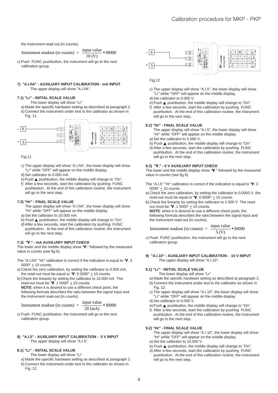the instrument read-out (in counts).

Instrument readout (in counts) =  $\frac{input}{10}$  $\frac{1}{2}$  + 30000

c) Push FUNC pushbutton, the instrument will go to the next calibration group.

## **7) "A.I.ñA" - AUXILIARY INPUT CALIBRATION - mA INPUT** The upper display will show "A.I.ñA".

## **7.1) "Lr" - INITIAL SCALE VALUE**

- The lower display will show "Lr"
- a) Made the specific hardware setting as described at paragraph 2. b) Connect the instrument under test to the calibrator as shown in
	- Fig. 11.



#### Fig.11

- c) The upper display will show "A.I.ñA", the lower display will show "Lr" while "OFF" will appear on the middle display.
- d) Set calibrator to 0.000 mA.
- e) Push ▲ pushbutton, the middle display will change to "On".
- f) After a few seconds, start the calibration by pushing FUNC pushbutton. At the end of this calibration routine, the instrument will go to the next step.

#### **7.2) "Hr" - FINAL SCALE VALUE**

- The upper display will show "A.I.ñA", the lower display will show "Hr" while "OFF" will appear on the middle display.
- a) Set the calibrator to 20.000 mA.
- b) Push ▲ pushbutton, the middle display will change to "On".
- d) After a few seconds, start the calibration by pushing FUNC pushbutton. At the end of this calibration routine, the instrument will go to the next step.

#### **7.3) "**∀.**" - mA AUXILIARY INPUT CHECK**

The lower and the middle display show "∀." followed by the measured value in counts (see fig 6).

The "A.I.ñA" "Hr" calibration is correct if the indication is equal to "∀. 3 0000" + 10 counts.

- a) Check the zero calibration, by setting the calibrator to 0.000 mA, the read-out must be equal to " $\blacktriangledown$ . 0 0000" + 10 counts.
- b) Check the linearity by setting the calibrator to 10.000 mA The read-out must be " $V. 15000$ " + 10 counts.

**NOTE**: when it is desired to use a different check point, the following formula describes the ratio between the signal input and the instrument read-out (in counts).

Instrument readout (in counts)  $=$   $\frac{input value}{}$  $\frac{1000 \text{ rad}}{20 \text{ (mA)}}$   $\bullet$  30000

c) Push FUNC pushbutton, the instrument will go to the next calibration group.

## **8) "A.I.5" - AUXILIARY INPUT CALIBRATION - 5 V INPUT** The upper display will show "A.I.5".

## **8.1) "Lr" - INITIAL SCALE VALUE**

The lower display will show "Lr"

- a) Made the specific hardware setting as described at paragraph 2.
- b) Connect the instrument under test to the calibrator as shown in Fig. 12.



Fig.12

- c) The upper display will show "A.I.5", the lower display will show "Lr" while "OFF" will appear on the middle display.
- d) Set calibrator to 0.000 V.
- e) Push ▲ pushbutton, the middle display will change to "On".
- f) After a few seconds, start the calibration by pushing FUNC pushbutton. At the end of this calibration routine, the instrument will go to the next step.

## **8.2) "Hr" - FINAL SCALE VALUE**

- The upper display will show "A.I.5", the lower display will show "Hr" while "OFF" will appear on the middle display.
- a) Set the calibrator to 5.000 V.
- b) Push ▲ pushbutton, the middle display will change to "On". d) After a few seconds, start the calibration by pushing FUNC pushbutton. At the end of this calibration routine, the instrument will go to the next step.

## **8.3) "**∀.**" - 5 V AUXILIARY INPUT CHECK**

The lower and the middle display show "∀." followed by the measured value in counts (see fig 6).

- The "A.I.5" "Hr" calibration is correct if the indication is equal to "∀. 3 0000"  $\pm$  10 counts.
- a) Check the zero calibration, by setting the calibrator to 0.0000 V, the read-out must be equal to " $\forall$ . 0 0000"  $\pm$  10 counts.
- b) Check the linearity by setting the calibrator to 2.500 V The readout must be " $\forall$ . 1 5000"  $\pm$  10 counts.
	- **NOTE**: when it is desired to use a different check point, the following formula describes the ratio between the signal input and the instrument read-out (in counts).

$$
Instrument \text{ readout (in counts)} = \frac{input \text{ value}}{5 \text{ (V)}} \cdot 30000
$$

c) Push FUNC pushbutton, the instrument will go to the next calibration group.

## **9) "A.I.10" - AUXILIARY INPUT CALIBRATION - 10 V INPUT** The upper display will show "A.I.10".

## **9.1) "Lr" - INITIAL SCALE VALUE**

- The lower display will show "Lr"
- a) Made the specific hardware setting as described at paragraph 2.
- b) Connect the instrument under test to the calibrator as shown in Fig. 12.
- c) The upper display will show "A.I.10", the lower display will show "Lr" while "OFF" will appear on the middle display.
- d) Set calibrator to 0.000 V.
- e) Push ▲ pushbutton, the middle display will change to "On".
- f) After a few seconds, start the calibration by pushing FUNC pushbutton. At the end of this calibration routine, the instrument will go to the next step.

#### **9.2) "Hr" - FINAL SCALE VALUE**

- The upper display will show "A.I.10", the lower display will show "Hr" while "OFF" will appear on the middle display.
- a) Set the calibrator to 10.000 V. b) Push ▲ pushbutton, the middle display will change to "On".
- d) After a few seconds, start the calibration by pushing FUNC
- pushbutton. At the end of this calibration routine, the instrument will go to the next step.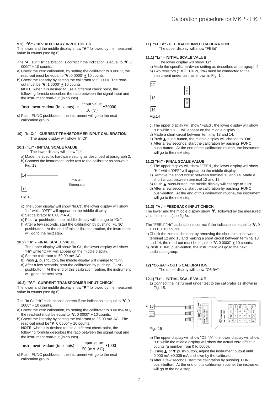#### **9.3) "**∀.**" - 10 V AUXILIARY INPUT CHECK**

The lower and the middle display show "∀." followed by the measured value in counts (see fig 6).

- The "A.I.10" "Hr" calibration is correct if the indication is equal to "∀. 3 0000"  $\pm$  10 counts.
- a) Check the zero calibration, by setting the calibrator to 0.000 V, the read-out must be equal to " $\forall$ . 0 0000"  $\pm$  10 counts.
- b) Check the linearity by setting the calibrator to 5.000 V The readout must be " $\forall$ . 1 5000"  $\pm$  10 counts.

**NOTE**: when it is desired to use a different check point, the following formula describes the ratio between the signal input and the instrument read-out (in counts).

Instrument readout (in counts) =  $\frac{mput \text{var}}{10 \text{ (V)}}$  $\frac{input \ value}{10000}$  • 30000

c) Push FUNC pushbutton, the instrument will go to the next calibration group.

#### **10) "In.Ct" - CURRENT TRANSFORMER INPUT CALIBRATION** The upper display will show "In.Ct".

## **10.1) "Lr" - INITIAL SCALE VALUE**

The lower display will show "Lr"

a) Made the specific hardware setting as described at paragraph 2. b) Connect the instrument under test to the calibrator as shown in Fig. 13.

| mA AC     |
|-----------|
| Generator |

Fig.13

- c) The upper display will show "In.Ct", the lower display will show "Lr" while "OFF" will appear on the middle display.
- d) Set calibrator to 0.00 mA AC.
- e) Push ▲ pushbutton, the middle display will change to "On".
- f) After a few seconds, start the calibration by pushing FUNC pushbutton. At the end of this calibration routine, the instrument will go to the next step.

## **10.2) "Hr" - FINAL SCALE VALUE**

- The upper display will show "In.Ct", the lower display will show "Hr" while "OFF" will appear on the middle display.
- a) Set the calibrator to 50.00 mA AC.
- b) Push ▲ pushbutton, the middle display will change to "On".
- d) After a few seconds, start the calibration by pushing FUNC pushbutton. At the end of this calibration routine, the instrument will go to the next step.

## **10.3) "**∀.**" - CURRENT TRANSFORMER INPUT CHECK**

The lower and the middle display show "∀." followed by the measured value in counts (see fig 6).

- The "In.Ct" "Hr" calibration is correct if the indication is equal to "∀. 0 1000" + 10 counts.
- a) Check the zero calibration, by setting the calibrator to 0.00 mA AC, the read-out must be equal to " $\forall$ . 0 0000"  $\pm$  10 counts.
- b) Check the linearity by setting the calibrator to 25.00 mA AC. The read-out must be " $V. 0.0500$ "  $+ 10$  counts.

**NOTE**: when it is desired to use a different check point, the following formula describes the ratio between the signal input and the instrument read-out (in counts).

$$
Instrument \text{ readout (in counts)} = \frac{input \text{ value}}{50 \text{ (mA AC)}} \cdot 1000
$$

c) Push FUNC pushbutton, the instrument will go to the next calibration group.

#### **11) "FEEd" - FEEDBACK INPUT CALIBRATION** The upper display will show "FEEd".

## **11.1) "Lr" - INITIAL SCALE VALUE**

- The lower display will show "Lr"
- a) Made the specific hardware setting as described at paragraph 2. b) Two resistors (1 KΩ, 1/4 W, 1%) must be connected to the
- instrument under test as shown in Fig. 14.



Fig.14

- c) The upper display will show "FEEd", the lower display will show "Lr" while "OFF" will appear on the middle display.
- d) Made a short circuit between terminal 13 and 14.
- e) Push ▲ push-button, the middle display will change to "On".
- f) After a few seconds, start the calibration by pushing FUNC push-button. At the end of this calibration routine, the instrument will go to the next step.

#### **11.2) "Hr" - FINAL SCALE VALUE**

- c) The upper display will show "FEEd", the lower display will show "Hr" while "OFF" will appear on the middle display.
- a) Remove the short circuit between terminal 13 and 14. Made a short circuit between terminal 12 and 13.
- b) Push ▲ push-button, the middle display will change to "ON".
- d) After a few seconds, start the calibration by pushing FUNC push-button. At the end of this calibration routine, the instrument will go to the next step.

#### **11.3) "**∀.**" - FEEDBACK INPUT CHECK**

The lower and the middle display show "∀." followed by the measured value in counts (see fig 6).

- The "FEEd" "Hr" calibration is correct if the indication is equal to "∀. 0 1000" + 10 counts.
- a) Check the zero calibration, by removing the short circuit between terminal 12 and 13 and making a short circuit between terminal 13 and 14; the read-out must be equal to " $\forall$ . 0 0000"  $\pm$  10 counts.
- b) Push FUNC push-button, the instrument will go to the next calibration group.

#### **12) "O5.ñA" - OUT 5 CALIBRATION.**

The upper display will show "O5.ñA".

## **12.1) "Lr" - INITIAL SCALE VALUE**

a) Connect the instrument under test to the calibrator as shown in Fig. 15.



- b) The upper display will show "O5.ñA", the lower display will show "Lr" while the middle display will show the actual zero offset in counts (a number from 0 to 5000).
- c) Using **▲** or ▼ push-button, adjust the instrument output until 0.000 mA  $\pm$ 0.005 mA is shown by the calibrator.
- d) After a few seconds, start the calibration by pushing FUNC push-button. At the end of this calibration routine, the instrument will go to the next step.